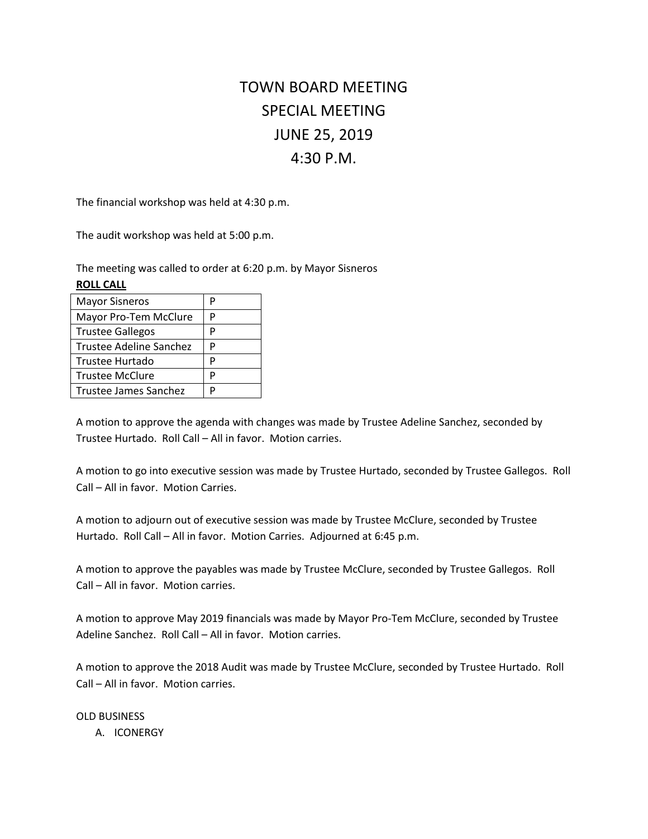# TOWN BOARD MEETING SPECIAL MEETING JUNE 25, 2019 4:30 P.M.

The financial workshop was held at 4:30 p.m.

The audit workshop was held at 5:00 p.m.

The meeting was called to order at 6:20 p.m. by Mayor Sisneros

### **ROLL CALL**

| <b>Mayor Sisneros</b>   | р |
|-------------------------|---|
| Mayor Pro-Tem McClure   | Р |
| <b>Trustee Gallegos</b> | P |
| Trustee Adeline Sanchez | Р |
| Trustee Hurtado         | P |
| <b>Trustee McClure</b>  | P |
| Trustee James Sanchez   | D |
|                         |   |

A motion to approve the agenda with changes was made by Trustee Adeline Sanchez, seconded by Trustee Hurtado. Roll Call – All in favor. Motion carries.

A motion to go into executive session was made by Trustee Hurtado, seconded by Trustee Gallegos. Roll Call – All in favor. Motion Carries.

A motion to adjourn out of executive session was made by Trustee McClure, seconded by Trustee Hurtado. Roll Call – All in favor. Motion Carries. Adjourned at 6:45 p.m.

A motion to approve the payables was made by Trustee McClure, seconded by Trustee Gallegos. Roll Call – All in favor. Motion carries.

A motion to approve May 2019 financials was made by Mayor Pro-Tem McClure, seconded by Trustee Adeline Sanchez. Roll Call – All in favor. Motion carries.

A motion to approve the 2018 Audit was made by Trustee McClure, seconded by Trustee Hurtado. Roll Call – All in favor. Motion carries.

### OLD BUSINESS

A. ICONERGY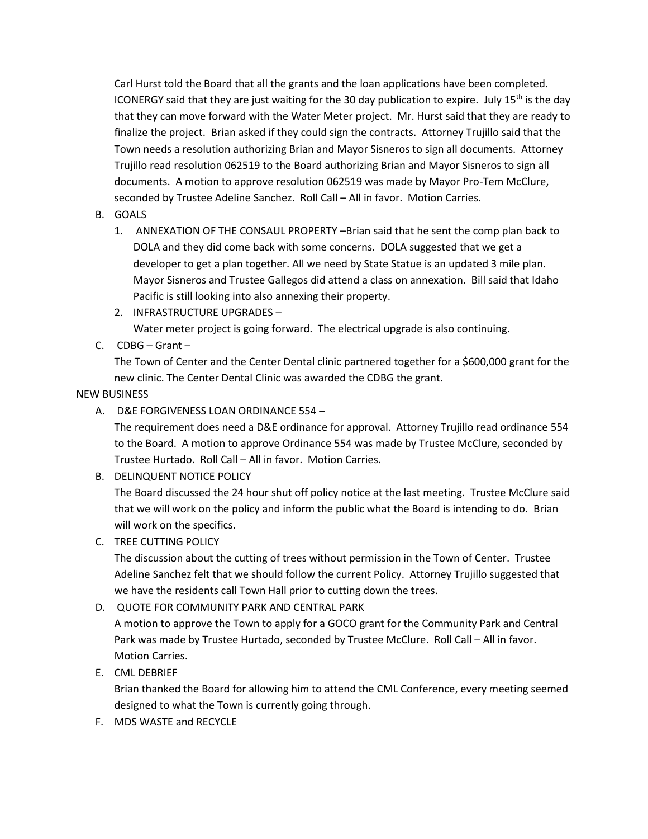Carl Hurst told the Board that all the grants and the loan applications have been completed. ICONERGY said that they are just waiting for the 30 day publication to expire. July 15<sup>th</sup> is the day that they can move forward with the Water Meter project. Mr. Hurst said that they are ready to finalize the project. Brian asked if they could sign the contracts. Attorney Trujillo said that the Town needs a resolution authorizing Brian and Mayor Sisneros to sign all documents. Attorney Trujillo read resolution 062519 to the Board authorizing Brian and Mayor Sisneros to sign all documents. A motion to approve resolution 062519 was made by Mayor Pro-Tem McClure, seconded by Trustee Adeline Sanchez. Roll Call – All in favor. Motion Carries.

- B. GOALS
	- 1. ANNEXATION OF THE CONSAUL PROPERTY –Brian said that he sent the comp plan back to DOLA and they did come back with some concerns. DOLA suggested that we get a developer to get a plan together. All we need by State Statue is an updated 3 mile plan. Mayor Sisneros and Trustee Gallegos did attend a class on annexation. Bill said that Idaho Pacific is still looking into also annexing their property.
	- 2. INFRASTRUCTURE UPGRADES Water meter project is going forward. The electrical upgrade is also continuing.
- C. CDBG Grant –

The Town of Center and the Center Dental clinic partnered together for a \$600,000 grant for the new clinic. The Center Dental Clinic was awarded the CDBG the grant.

# NEW BUSINESS

A. D&E FORGIVENESS LOAN ORDINANCE 554 –

The requirement does need a D&E ordinance for approval. Attorney Trujillo read ordinance 554 to the Board. A motion to approve Ordinance 554 was made by Trustee McClure, seconded by Trustee Hurtado. Roll Call – All in favor. Motion Carries.

B. DELINQUENT NOTICE POLICY

The Board discussed the 24 hour shut off policy notice at the last meeting. Trustee McClure said that we will work on the policy and inform the public what the Board is intending to do. Brian will work on the specifics.

C. TREE CUTTING POLICY

The discussion about the cutting of trees without permission in the Town of Center. Trustee Adeline Sanchez felt that we should follow the current Policy. Attorney Trujillo suggested that we have the residents call Town Hall prior to cutting down the trees.

D. QUOTE FOR COMMUNITY PARK AND CENTRAL PARK

A motion to approve the Town to apply for a GOCO grant for the Community Park and Central Park was made by Trustee Hurtado, seconded by Trustee McClure. Roll Call – All in favor. Motion Carries.

E. CML DEBRIEF

Brian thanked the Board for allowing him to attend the CML Conference, every meeting seemed designed to what the Town is currently going through.

F. MDS WASTE and RECYCLE